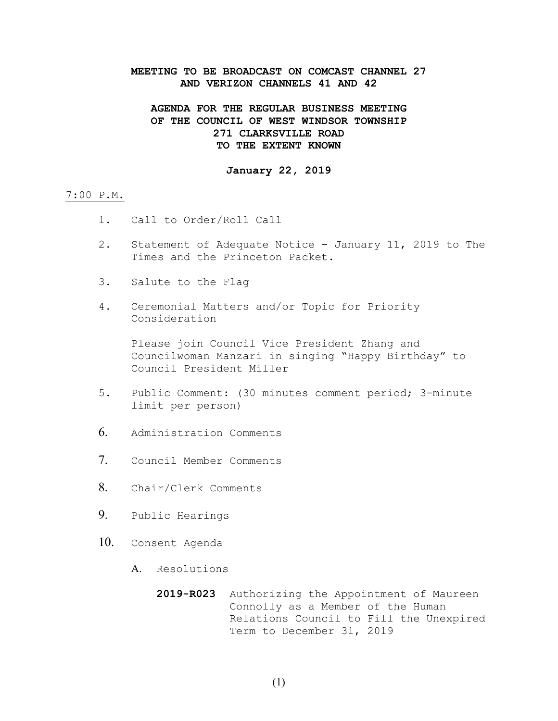## **MEETING TO BE BROADCAST ON COMCAST CHANNEL 27 AND VERIZON CHANNELS 41 AND 42**

# **AGENDA FOR THE REGULAR BUSINESS MEETING OF THE COUNCIL OF WEST WINDSOR TOWNSHIP 271 CLARKSVILLE ROAD TO THE EXTENT KNOWN**

## **January 22, 2019**

## 7:00 P.M.

- 1. Call to Order/Roll Call
- 2. Statement of Adequate Notice January 11, 2019 to The Times and the Princeton Packet.
- 3. Salute to the Flag
- 4. Ceremonial Matters and/or Topic for Priority Consideration

Please join Council Vice President Zhang and Councilwoman Manzari in singing "Happy Birthday" to Council President Miller

- 5. Public Comment: (30 minutes comment period; 3-minute limit per person)
- 6. Administration Comments
- 7. Council Member Comments
- 8. Chair/Clerk Comments
- 9. Public Hearings
- 10. Consent Agenda
	- A. Resolutions
		- **2019-R023** Authorizing the Appointment of Maureen Connolly as a Member of the Human Relations Council to Fill the Unexpired Term to December 31, 2019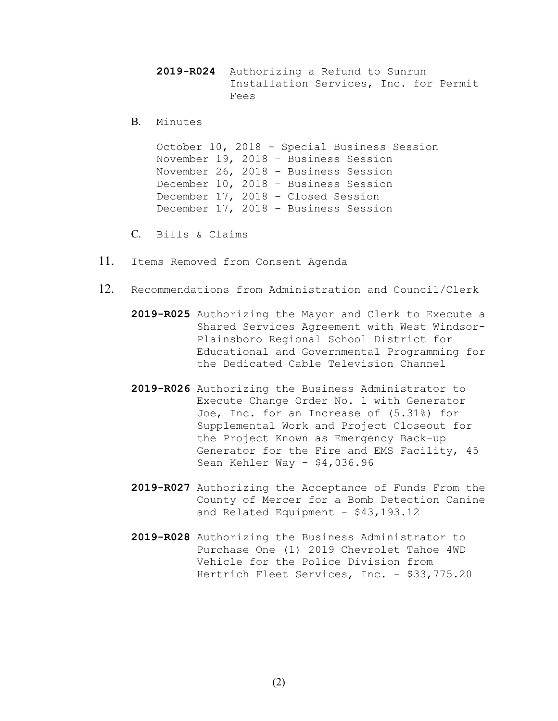**2019-R024** Authorizing a Refund to Sunrun Installation Services, Inc. for Permit Fees

B. Minutes

October 10, 2018 - Special Business Session November 19, 2018 – Business Session November 26, 2018 – Business Session December 10, 2018 – Business Session December 17, 2018 – Closed Session December 17, 2018 – Business Session

C. Bills & Claims

- 11. Items Removed from Consent Agenda
- 12. Recommendations from Administration and Council/Clerk
	- **2019-R025** Authorizing the Mayor and Clerk to Execute a Shared Services Agreement with West Windsor-Plainsboro Regional School District for Educational and Governmental Programming for the Dedicated Cable Television Channel
	- **2019-R026** Authorizing the Business Administrator to Execute Change Order No. 1 with Generator Joe, Inc. for an Increase of (5.31%) for Supplemental Work and Project Closeout for the Project Known as Emergency Back-up Generator for the Fire and EMS Facility, 45 Sean Kehler Way - \$4,036.96
	- **2019-R027** Authorizing the Acceptance of Funds From the County of Mercer for a Bomb Detection Canine and Related Equipment - \$43,193.12
	- **2019-R028** Authorizing the Business Administrator to Purchase One (1) 2019 Chevrolet Tahoe 4WD Vehicle for the Police Division from Hertrich Fleet Services, Inc. - \$33,775.20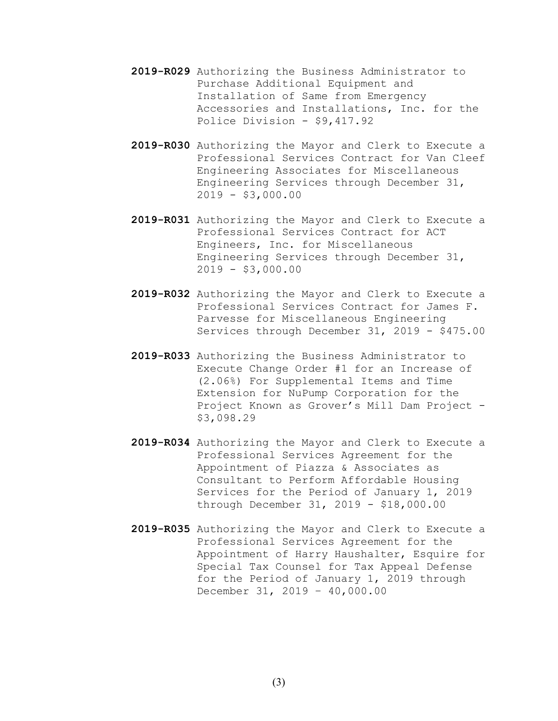- **2019-R029** Authorizing the Business Administrator to Purchase Additional Equipment and Installation of Same from Emergency Accessories and Installations, Inc. for the Police Division - \$9,417.92
- **2019-R030** Authorizing the Mayor and Clerk to Execute a Professional Services Contract for Van Cleef Engineering Associates for Miscellaneous Engineering Services through December 31,  $2019 - $3,000.00$
- **2019-R031** Authorizing the Mayor and Clerk to Execute a Professional Services Contract for ACT Engineers, Inc. for Miscellaneous Engineering Services through December 31, 2019 - \$3,000.00
- **2019-R032** Authorizing the Mayor and Clerk to Execute a Professional Services Contract for James F. Parvesse for Miscellaneous Engineering Services through December 31, 2019 - \$475.00
- **2019-R033** Authorizing the Business Administrator to Execute Change Order #1 for an Increase of (2.06%) For Supplemental Items and Time Extension for NuPump Corporation for the Project Known as Grover's Mill Dam Project -\$3,098.29
- **2019-R034** Authorizing the Mayor and Clerk to Execute a Professional Services Agreement for the Appointment of Piazza & Associates as Consultant to Perform Affordable Housing Services for the Period of January 1, 2019 through December 31, 2019 - \$18,000.00
- **2019-R035** Authorizing the Mayor and Clerk to Execute a Professional Services Agreement for the Appointment of Harry Haushalter, Esquire for Special Tax Counsel for Tax Appeal Defense for the Period of January 1, 2019 through December 31, 2019 – 40,000.00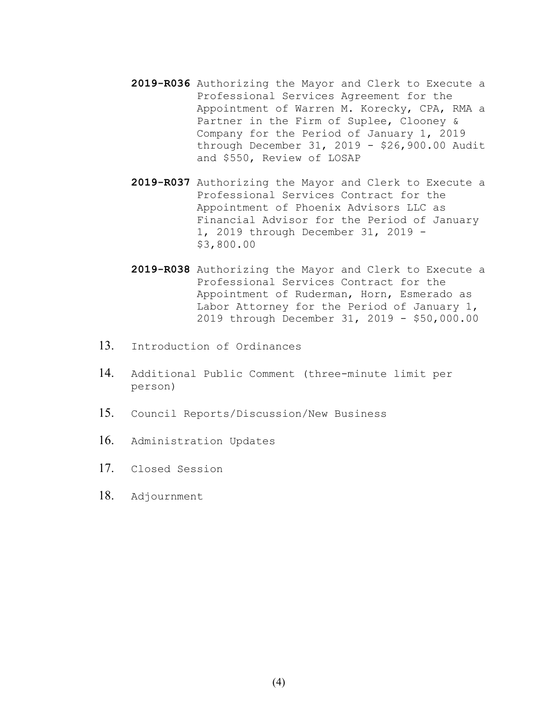- **2019-R036** Authorizing the Mayor and Clerk to Execute a Professional Services Agreement for the Appointment of Warren M. Korecky, CPA, RMA a Partner in the Firm of Suplee, Clooney & Company for the Period of January 1, 2019 through December 31, 2019 - \$26,900.00 Audit and \$550, Review of LOSAP
- **2019-R037** Authorizing the Mayor and Clerk to Execute a Professional Services Contract for the Appointment of Phoenix Advisors LLC as Financial Advisor for the Period of January 1, 2019 through December 31, 2019 - \$3,800.00
- **2019-R038** Authorizing the Mayor and Clerk to Execute a Professional Services Contract for the Appointment of Ruderman, Horn, Esmerado as Labor Attorney for the Period of January 1, 2019 through December 31, 2019 - \$50,000.00
- 13. Introduction of Ordinances
- 14. Additional Public Comment (three-minute limit per person)
- 15. Council Reports/Discussion/New Business
- 16. Administration Updates
- 17. Closed Session
- 18. Adjournment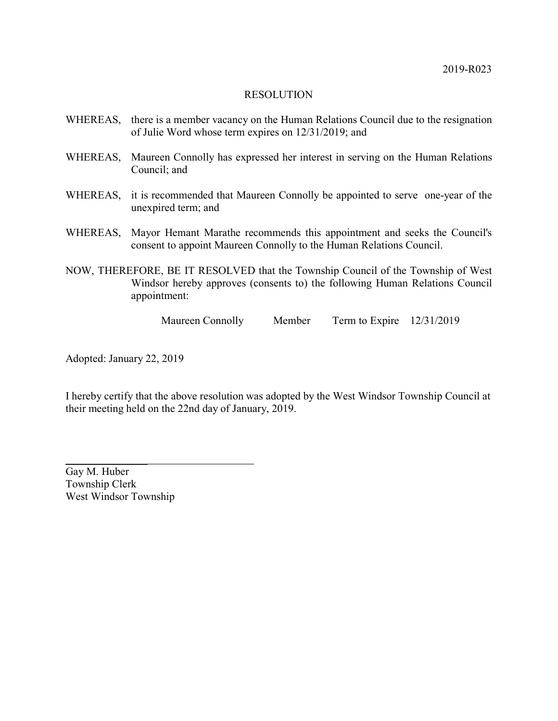- WHEREAS, there is a member vacancy on the Human Relations Council due to the resignation of Julie Word whose term expires on 12/31/2019; and
- WHEREAS, Maureen Connolly has expressed her interest in serving on the Human Relations Council; and
- WHEREAS, it is recommended that Maureen Connolly be appointed to serve one-year of the unexpired term; and
- WHEREAS, Mayor Hemant Marathe recommends this appointment and seeks the Council's consent to appoint Maureen Connolly to the Human Relations Council.
- NOW, THEREFORE, BE IT RESOLVED that the Township Council of the Township of West Windsor hereby approves (consents to) the following Human Relations Council appointment:

Maureen Connolly Member Term to Expire 12/31/2019

Adopted: January 22, 2019

I hereby certify that the above resolution was adopted by the West Windsor Township Council at their meeting held on the 22nd day of January, 2019.

Gay M. Huber Township Clerk West Windsor Township

 $\overline{\phantom{a}}$  , where  $\overline{\phantom{a}}$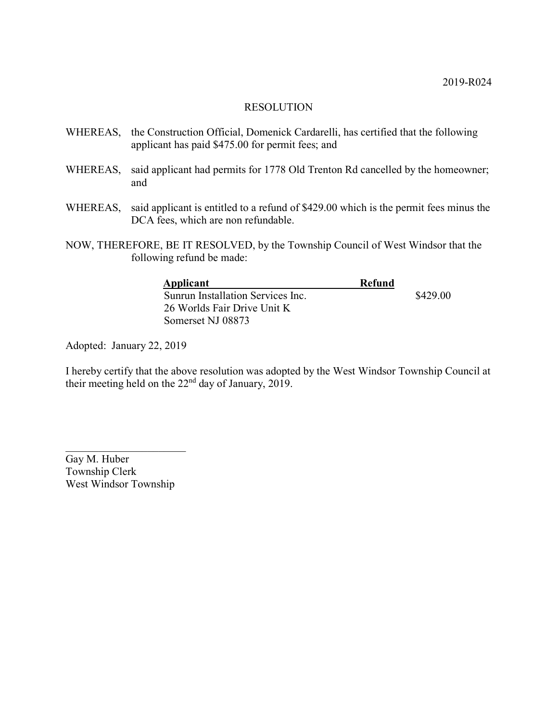- WHEREAS, the Construction Official, Domenick Cardarelli, has certified that the following applicant has paid \$475.00 for permit fees; and
- WHEREAS, said applicant had permits for 1778 Old Trenton Rd cancelled by the homeowner; and
- WHEREAS, said applicant is entitled to a refund of \$429.00 which is the permit fees minus the DCA fees, which are non refundable.
- NOW, THEREFORE, BE IT RESOLVED, by the Township Council of West Windsor that the following refund be made:

| Applicant                         | Refund |          |
|-----------------------------------|--------|----------|
| Sunrun Installation Services Inc. |        | \$429.00 |
| 26 Worlds Fair Drive Unit K       |        |          |
| Somerset NJ 08873                 |        |          |

Adopted: January 22, 2019

I hereby certify that the above resolution was adopted by the West Windsor Township Council at their meeting held on the 22nd day of January, 2019.

Gay M. Huber Township Clerk West Windsor Township

 $\overline{\mathcal{L}}$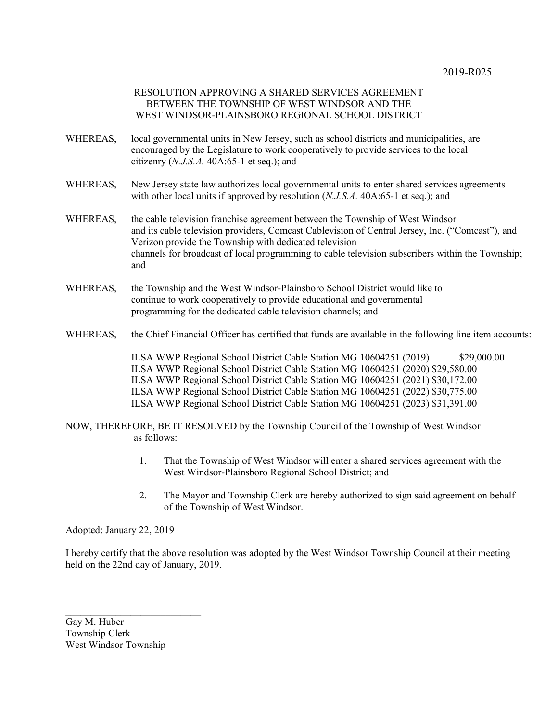### RESOLUTION APPROVING A SHARED SERVICES AGREEMENT BETWEEN THE TOWNSHIP OF WEST WINDSOR AND THE WEST WINDSOR-PLAINSBORO REGIONAL SCHOOL DISTRICT

- WHEREAS, local governmental units in New Jersey, such as school districts and municipalities, are encouraged by the Legislature to work cooperatively to provide services to the local citizenry (*N.J.S.A.* 40A:65-1 et seq.); and
- WHEREAS, New Jersey state law authorizes local governmental units to enter shared services agreements with other local units if approved by resolution (*N.J.S.A.* 40A:65-1 et seq.); and
- WHEREAS, the cable television franchise agreement between the Township of West Windsor and its cable television providers, Comcast Cablevision of Central Jersey, Inc. ("Comcast"), and Verizon provide the Township with dedicated television channels for broadcast of local programming to cable television subscribers within the Township; and
- WHEREAS, the Township and the West Windsor-Plainsboro School District would like to continue to work cooperatively to provide educational and governmental programming for the dedicated cable television channels; and
- WHEREAS, the Chief Financial Officer has certified that funds are available in the following line item accounts:

ILSA WWP Regional School District Cable Station MG 10604251 (2019) \$29,000.00 ILSA WWP Regional School District Cable Station MG 10604251 (2020) \$29,580.00 ILSA WWP Regional School District Cable Station MG 10604251 (2021) \$30,172.00 ILSA WWP Regional School District Cable Station MG 10604251 (2022) \$30,775.00 ILSA WWP Regional School District Cable Station MG 10604251 (2023) \$31,391.00

NOW, THEREFORE, BE IT RESOLVED by the Township Council of the Township of West Windsor as follows:

- 1. That the Township of West Windsor will enter a shared services agreement with the West Windsor-Plainsboro Regional School District; and
- 2. The Mayor and Township Clerk are hereby authorized to sign said agreement on behalf of the Township of West Windsor.

Adopted: January 22, 2019

I hereby certify that the above resolution was adopted by the West Windsor Township Council at their meeting held on the 22nd day of January, 2019.

Gay M. Huber Township Clerk West Windsor Township

 $\mathcal{L}_\text{max}$  , where  $\mathcal{L}_\text{max}$  , we have the set of the set of the set of the set of the set of the set of the set of the set of the set of the set of the set of the set of the set of the set of the set of the set of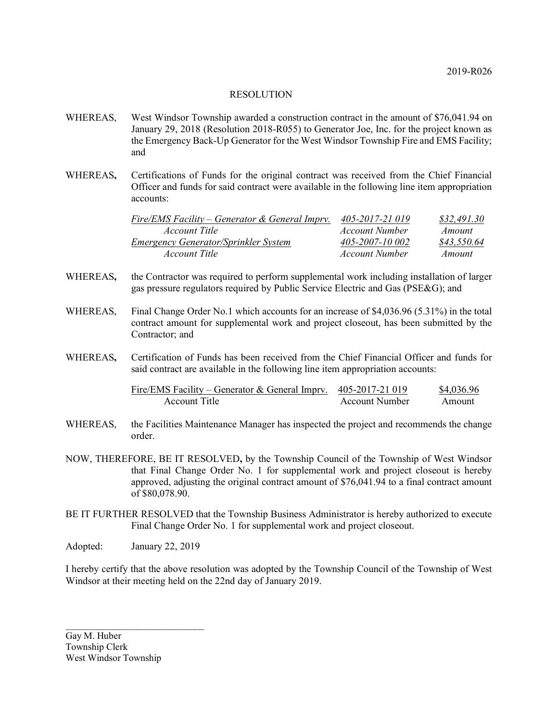- WHEREAS, West Windsor Township awarded a construction contract in the amount of \$76,041.94 on January 29, 2018 (Resolution 2018-R055) to Generator Joe, Inc. for the project known as the Emergency Back-Up Generator for the West Windsor Township Fire and EMS Facility; and
- WHEREAS**,** Certifications of Funds for the original contract was received from the Chief Financial Officer and funds for said contract were available in the following line item appropriation accounts:

| Fire/EMS Facility – Generator & General Imprv. | 405-2017-21 019 | \$32.491.30 |
|------------------------------------------------|-----------------|-------------|
| <i>Account Title</i>                           | Account Number  | Amount      |
| Emergency Generator/Sprinkler System           | 405-2007-10 002 | \$43,550.64 |
| <i>Account Title</i>                           | Account Number  | Amount      |

- WHEREAS**,** the Contractor was required to perform supplemental work including installation of larger gas pressure regulators required by Public Service Electric and Gas (PSE&G); and
- WHEREAS, Final Change Order No.1 which accounts for an increase of \$4,036.96 (5.31%) in the total contract amount for supplemental work and project closeout, has been submitted by the Contractor; and
- WHEREAS**,** Certification of Funds has been received from the Chief Financial Officer and funds for said contract are available in the following line item appropriation accounts:

| Fire/EMS Facility – Generator & General Impry. $405-2017-21019$ |                | \$4,036.96 |
|-----------------------------------------------------------------|----------------|------------|
| Account Title                                                   | Account Number | Amount     |

- WHEREAS, the Facilities Maintenance Manager has inspected the project and recommends the change order.
- NOW, THEREFORE, BE IT RESOLVED**,** by the Township Council of the Township of West Windsor that Final Change Order No. 1 for supplemental work and project closeout is hereby approved, adjusting the original contract amount of \$76,041.94 to a final contract amount of \$80,078.90.
- BE IT FURTHER RESOLVED that the Township Business Administrator is hereby authorized to execute Final Change Order No. 1 for supplemental work and project closeout.
- Adopted: January 22, 2019

 $\mathcal{L}_\text{max}$  and  $\mathcal{L}_\text{max}$  and  $\mathcal{L}_\text{max}$  and  $\mathcal{L}_\text{max}$ 

I hereby certify that the above resolution was adopted by the Township Council of the Township of West Windsor at their meeting held on the 22nd day of January 2019.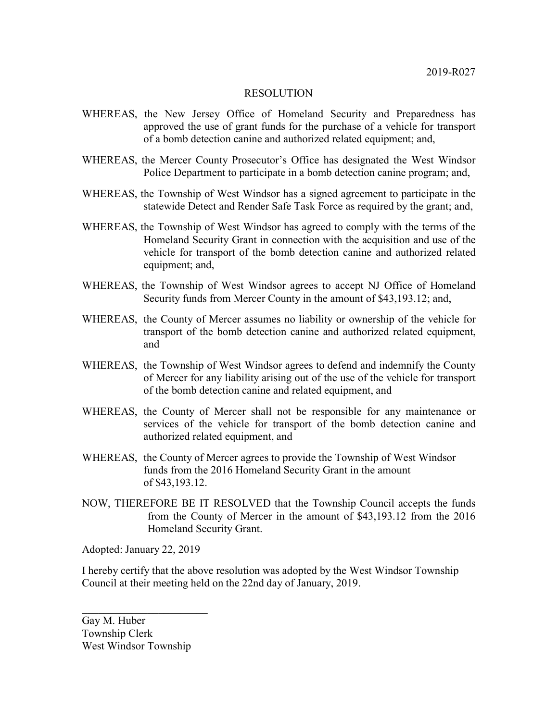- WHEREAS, the New Jersey Office of Homeland Security and Preparedness has approved the use of grant funds for the purchase of a vehicle for transport of a bomb detection canine and authorized related equipment; and,
- WHEREAS, the Mercer County Prosecutor's Office has designated the West Windsor Police Department to participate in a bomb detection canine program; and,
- WHEREAS, the Township of West Windsor has a signed agreement to participate in the statewide Detect and Render Safe Task Force as required by the grant; and,
- WHEREAS, the Township of West Windsor has agreed to comply with the terms of the Homeland Security Grant in connection with the acquisition and use of the vehicle for transport of the bomb detection canine and authorized related equipment; and,
- WHEREAS, the Township of West Windsor agrees to accept NJ Office of Homeland Security funds from Mercer County in the amount of \$43,193.12; and,
- WHEREAS, the County of Mercer assumes no liability or ownership of the vehicle for transport of the bomb detection canine and authorized related equipment, and
- WHEREAS, the Township of West Windsor agrees to defend and indemnify the County of Mercer for any liability arising out of the use of the vehicle for transport of the bomb detection canine and related equipment, and
- WHEREAS, the County of Mercer shall not be responsible for any maintenance or services of the vehicle for transport of the bomb detection canine and authorized related equipment, and
- WHEREAS, the County of Mercer agrees to provide the Township of West Windsor funds from the 2016 Homeland Security Grant in the amount of \$43,193.12.
- NOW, THEREFORE BE IT RESOLVED that the Township Council accepts the funds from the County of Mercer in the amount of \$43,193.12 from the 2016 Homeland Security Grant.

Adopted: January 22, 2019

I hereby certify that the above resolution was adopted by the West Windsor Township Council at their meeting held on the 22nd day of January, 2019.

Gay M. Huber Township Clerk West Windsor Township

 $\overline{\phantom{a}}$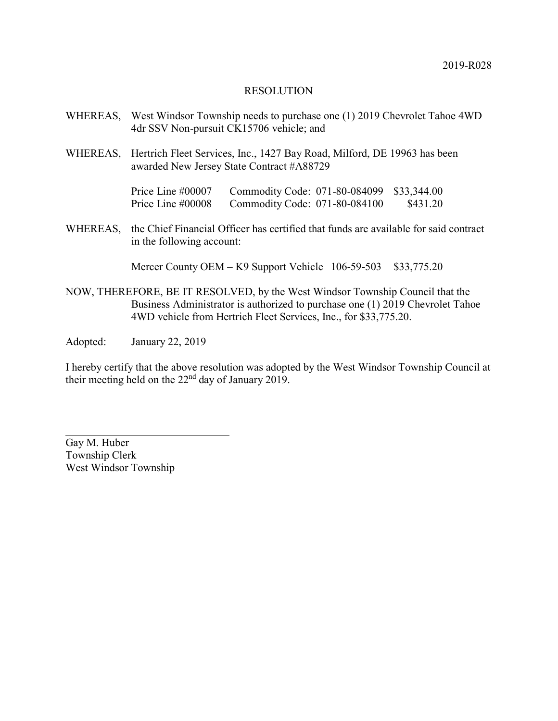- WHEREAS, West Windsor Township needs to purchase one (1) 2019 Chevrolet Tahoe 4WD 4dr SSV Non-pursuit CK15706 vehicle; and
- WHEREAS, Hertrich Fleet Services, Inc., 1427 Bay Road, Milford, DE 19963 has been awarded New Jersey State Contract #A88729

Price Line #00007 Commodity Code: 071-80-084099 \$33,344.00 Price Line #00008 Commodity Code: 071-80-084100 \$431.20

WHEREAS, the Chief Financial Officer has certified that funds are available for said contract in the following account:

Mercer County OEM – K9 Support Vehicle 106-59-503 \$33,775.20

NOW, THEREFORE, BE IT RESOLVED, by the West Windsor Township Council that the Business Administrator is authorized to purchase one (1) 2019 Chevrolet Tahoe 4WD vehicle from Hertrich Fleet Services, Inc., for \$33,775.20.

Adopted: January 22, 2019

I hereby certify that the above resolution was adopted by the West Windsor Township Council at their meeting held on the 22nd day of January 2019.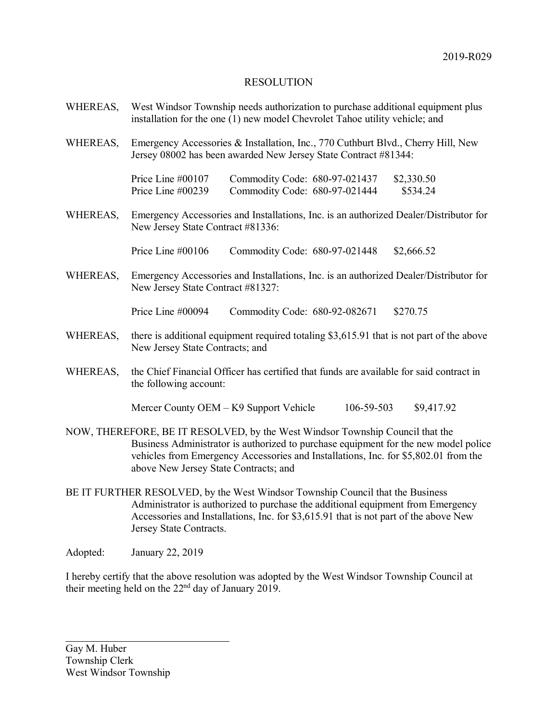- WHEREAS, West Windsor Township needs authorization to purchase additional equipment plus installation for the one (1) new model Chevrolet Tahoe utility vehicle; and
- WHEREAS, Emergency Accessories & Installation, Inc., 770 Cuthburt Blvd., Cherry Hill, New Jersey 08002 has been awarded New Jersey State Contract #81344:

Price Line #00107 Commodity Code: 680-97-021437 \$2,330.50 Price Line #00239 Commodity Code: 680-97-021444 \$534.24

WHEREAS, Emergency Accessories and Installations, Inc. is an authorized Dealer/Distributor for New Jersey State Contract #81336:

Price Line #00106 Commodity Code: 680-97-021448 \$2,666.52

WHEREAS, Emergency Accessories and Installations, Inc. is an authorized Dealer/Distributor for New Jersey State Contract #81327:

Price Line #00094 Commodity Code: 680-92-082671 \$270.75

- WHEREAS, there is additional equipment required totaling \$3,615.91 that is not part of the above New Jersey State Contracts; and
- WHEREAS, the Chief Financial Officer has certified that funds are available for said contract in the following account:

Mercer County OEM – K9 Support Vehicle  $106-59-503$  \$9,417.92

- NOW, THEREFORE, BE IT RESOLVED, by the West Windsor Township Council that the Business Administrator is authorized to purchase equipment for the new model police vehicles from Emergency Accessories and Installations, Inc. for \$5,802.01 from the above New Jersey State Contracts; and
- BE IT FURTHER RESOLVED, by the West Windsor Township Council that the Business Administrator is authorized to purchase the additional equipment from Emergency Accessories and Installations, Inc. for \$3,615.91 that is not part of the above New Jersey State Contracts.

Adopted: January 22, 2019

I hereby certify that the above resolution was adopted by the West Windsor Township Council at their meeting held on the 22nd day of January 2019.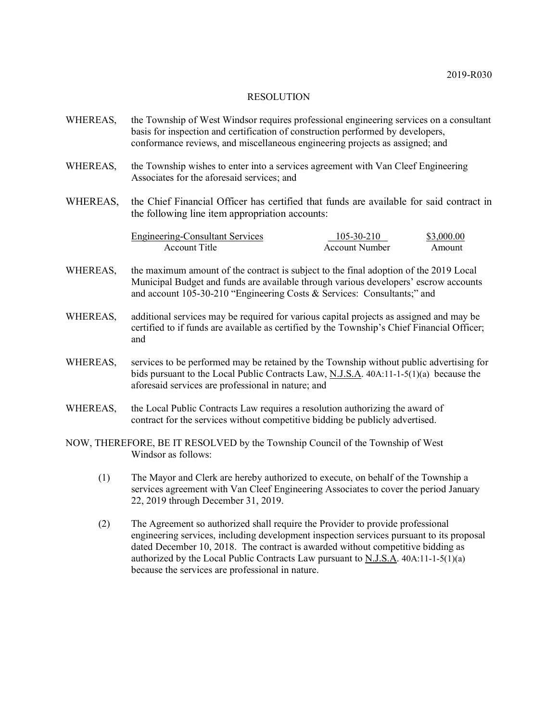- WHEREAS, the Township of West Windsor requires professional engineering services on a consultant basis for inspection and certification of construction performed by developers, conformance reviews, and miscellaneous engineering projects as assigned; and
- WHEREAS, the Township wishes to enter into a services agreement with Van Cleef Engineering Associates for the aforesaid services; and
- WHEREAS, the Chief Financial Officer has certified that funds are available for said contract in the following line item appropriation accounts:

| <b>Engineering-Consultant Services</b> | 105-30-210     | \$3,000.00 |
|----------------------------------------|----------------|------------|
| Account Title                          | Account Number | Amount     |

- WHEREAS, the maximum amount of the contract is subject to the final adoption of the 2019 Local Municipal Budget and funds are available through various developers' escrow accounts and account 105-30-210 "Engineering Costs & Services: Consultants;" and
- WHEREAS, additional services may be required for various capital projects as assigned and may be certified to if funds are available as certified by the Township's Chief Financial Officer; and
- WHEREAS, services to be performed may be retained by the Township without public advertising for bids pursuant to the Local Public Contracts Law, N.J.S.A. 40A:11-1-5(1)(a) because the aforesaid services are professional in nature; and
- WHEREAS, the Local Public Contracts Law requires a resolution authorizing the award of contract for the services without competitive bidding be publicly advertised.
- NOW, THEREFORE, BE IT RESOLVED by the Township Council of the Township of West Windsor as follows:
	- (1) The Mayor and Clerk are hereby authorized to execute, on behalf of the Township a services agreement with Van Cleef Engineering Associates to cover the period January 22, 2019 through December 31, 2019.
	- (2) The Agreement so authorized shall require the Provider to provide professional engineering services, including development inspection services pursuant to its proposal dated December 10, 2018. The contract is awarded without competitive bidding as authorized by the Local Public Contracts Law pursuant to N.J.S.A. 40A:11-1-5(1)(a) because the services are professional in nature.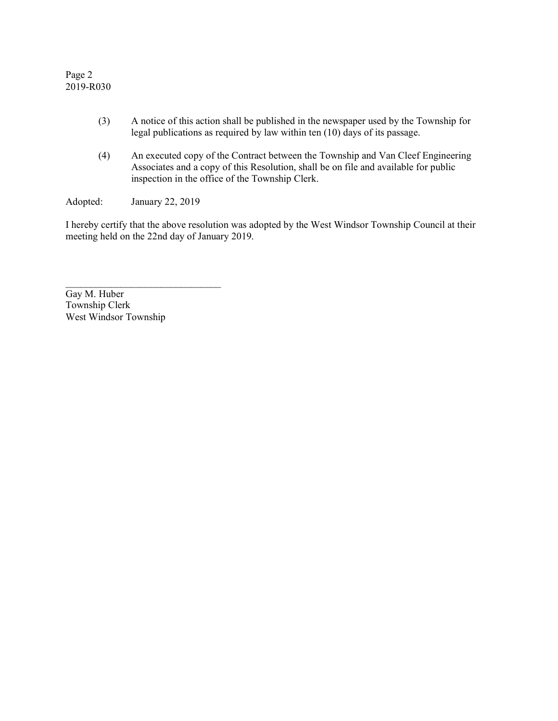Page 2 2019-R030

- (3) A notice of this action shall be published in the newspaper used by the Township for legal publications as required by law within ten (10) days of its passage.
- (4) An executed copy of the Contract between the Township and Van Cleef Engineering Associates and a copy of this Resolution, shall be on file and available for public inspection in the office of the Township Clerk.

Adopted: January 22, 2019

 $\overline{\phantom{a}}$  , where  $\overline{\phantom{a}}$  , where  $\overline{\phantom{a}}$  ,  $\overline{\phantom{a}}$  ,  $\overline{\phantom{a}}$  ,  $\overline{\phantom{a}}$  ,  $\overline{\phantom{a}}$  ,  $\overline{\phantom{a}}$  ,  $\overline{\phantom{a}}$  ,  $\overline{\phantom{a}}$  ,  $\overline{\phantom{a}}$  ,  $\overline{\phantom{a}}$  ,  $\overline{\phantom{a}}$  ,  $\overline{\phantom{a}}$  ,  $\overline{\phantom{a}}$  ,

I hereby certify that the above resolution was adopted by the West Windsor Township Council at their meeting held on the 22nd day of January 2019.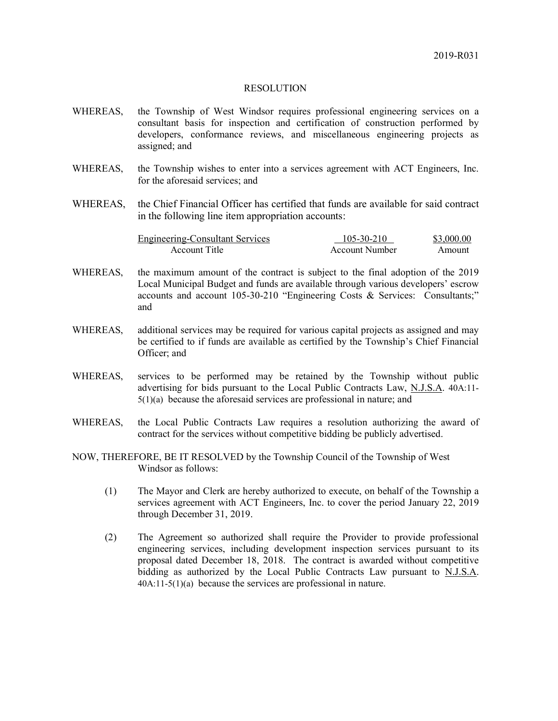- WHEREAS, the Township of West Windsor requires professional engineering services on a consultant basis for inspection and certification of construction performed by developers, conformance reviews, and miscellaneous engineering projects as assigned; and
- WHEREAS, the Township wishes to enter into a services agreement with ACT Engineers, Inc. for the aforesaid services; and
- WHEREAS, the Chief Financial Officer has certified that funds are available for said contract in the following line item appropriation accounts:

| <b>Engineering-Consultant Services</b> | 105-30-210     | \$3,000.00 |
|----------------------------------------|----------------|------------|
| Account Title                          | Account Number | Amount     |

- WHEREAS, the maximum amount of the contract is subject to the final adoption of the 2019 Local Municipal Budget and funds are available through various developers' escrow accounts and account 105-30-210 "Engineering Costs & Services: Consultants;" and
- WHEREAS, additional services may be required for various capital projects as assigned and may be certified to if funds are available as certified by the Township's Chief Financial Officer; and
- WHEREAS, services to be performed may be retained by the Township without public advertising for bids pursuant to the Local Public Contracts Law, N.J.S.A. 40A:11-  $5(1)(a)$  because the aforesaid services are professional in nature; and
- WHEREAS, the Local Public Contracts Law requires a resolution authorizing the award of contract for the services without competitive bidding be publicly advertised.
- NOW, THEREFORE, BE IT RESOLVED by the Township Council of the Township of West Windsor as follows:
	- (1) The Mayor and Clerk are hereby authorized to execute, on behalf of the Township a services agreement with ACT Engineers, Inc. to cover the period January 22, 2019 through December 31, 2019.
	- (2) The Agreement so authorized shall require the Provider to provide professional engineering services, including development inspection services pursuant to its proposal dated December 18, 2018. The contract is awarded without competitive bidding as authorized by the Local Public Contracts Law pursuant to N.J.S.A. 40A:11-5(1)(a) because the services are professional in nature.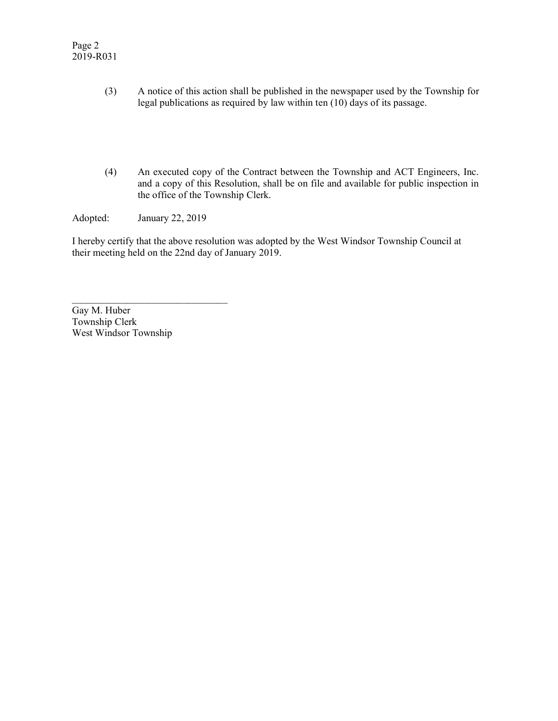- (3) A notice of this action shall be published in the newspaper used by the Township for legal publications as required by law within ten (10) days of its passage.
- (4) An executed copy of the Contract between the Township and ACT Engineers, Inc. and a copy of this Resolution, shall be on file and available for public inspection in the office of the Township Clerk.

Adopted: January 22, 2019

 $\mathcal{L}_\text{max}$  , where  $\mathcal{L}_\text{max}$  and  $\mathcal{L}_\text{max}$  and  $\mathcal{L}_\text{max}$ 

I hereby certify that the above resolution was adopted by the West Windsor Township Council at their meeting held on the 22nd day of January 2019.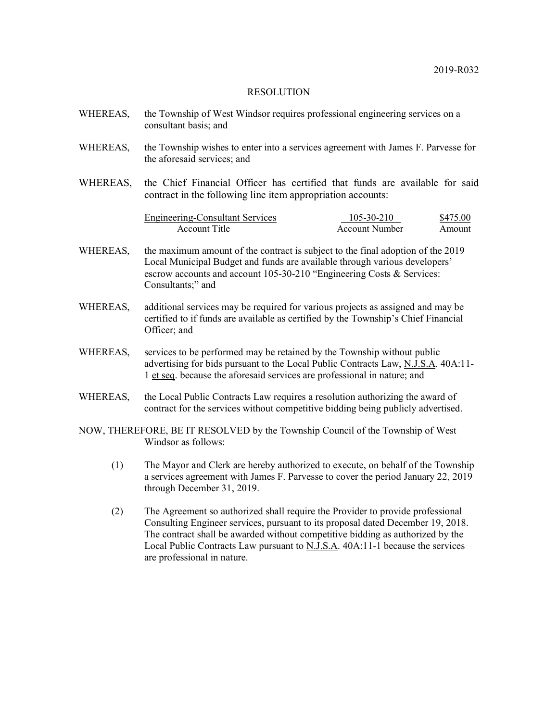| WHEREAS, | the Township of West Windsor requires professional engineering services on a<br>consultant basis; and                                                                                                                                                       |                                     |                    |
|----------|-------------------------------------------------------------------------------------------------------------------------------------------------------------------------------------------------------------------------------------------------------------|-------------------------------------|--------------------|
| WHEREAS, | the Township wishes to enter into a services agreement with James F. Parvesse for<br>the aforesaid services; and                                                                                                                                            |                                     |                    |
| WHEREAS, | the Chief Financial Officer has certified that funds are available for said<br>contract in the following line item appropriation accounts:                                                                                                                  |                                     |                    |
|          | <b>Engineering-Consultant Services</b><br><b>Account Title</b>                                                                                                                                                                                              | 105-30-210<br><b>Account Number</b> | \$475.00<br>Amount |
| WHEREAS, | the maximum amount of the contract is subject to the final adoption of the 2019<br>Local Municipal Budget and funds are available through various developers'<br>escrow accounts and account 105-30-210 "Engineering Costs & Services:<br>Consultants;" and |                                     |                    |
| WHEREAS, | additional services may be required for various projects as assigned and may be<br>certified to if funds are available as certified by the Township's Chief Financial<br>Officer; and                                                                       |                                     |                    |
| WHEREAS, | services to be performed may be retained by the Township without public<br>advertising for bids pursuant to the Local Public Contracts Law, N.J.S.A. 40A:11-<br>1 et seq. because the aforesaid services are professional in nature; and                    |                                     |                    |
| WHEREAS, | the Local Public Contracts Law requires a resolution authorizing the award of<br>contract for the services without competitive bidding being publicly advertised.                                                                                           |                                     |                    |
|          | NOW, THEREFORE, BE IT RESOLVED by the Township Council of the Township of West<br>Windsor as follows:                                                                                                                                                       |                                     |                    |
| (1)      | The Mayor and Clerk are hereby authorized to execute, on behalf of the Township<br>a services agreement with James F. Parvesse to cover the period January 22, 2019<br>through December 31, 2019.                                                           |                                     |                    |

(2) The Agreement so authorized shall require the Provider to provide professional Consulting Engineer services, pursuant to its proposal dated December 19, 2018. The contract shall be awarded without competitive bidding as authorized by the Local Public Contracts Law pursuant to  $\overline{N}$ . A. 40A:11-1 because the services are professional in nature.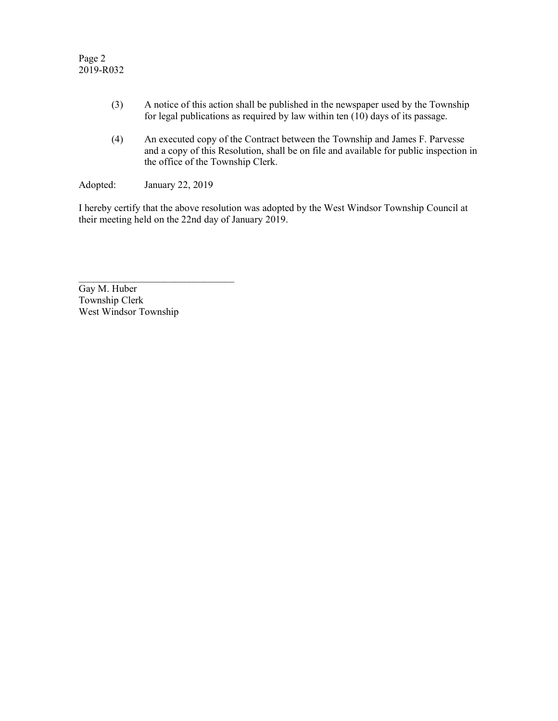- (3) A notice of this action shall be published in the newspaper used by the Township for legal publications as required by law within ten  $(10)$  days of its passage.
- (4) An executed copy of the Contract between the Township and James F. Parvesse and a copy of this Resolution, shall be on file and available for public inspection in the office of the Township Clerk.

Adopted: January 22, 2019

 $\mathcal{L}=\{1,2,3,4,5\}$ 

I hereby certify that the above resolution was adopted by the West Windsor Township Council at their meeting held on the 22nd day of January 2019.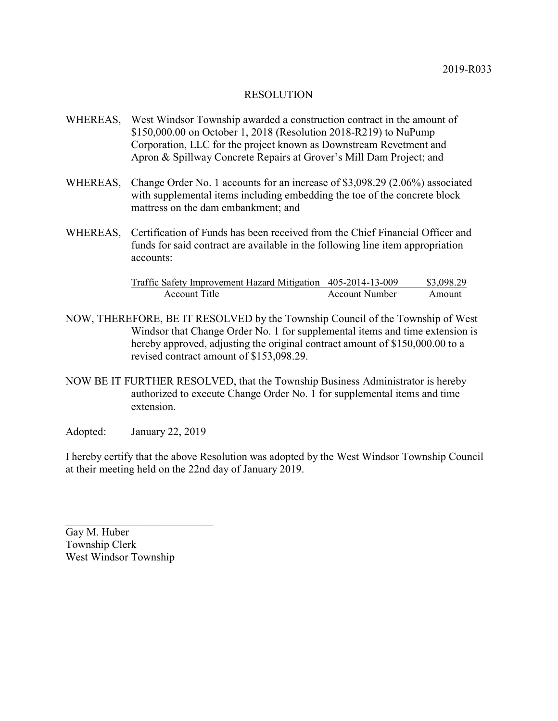- WHEREAS, West Windsor Township awarded a construction contract in the amount of \$150,000.00 on October 1, 2018 (Resolution 2018-R219) to NuPump Corporation, LLC for the project known as Downstream Revetment and Apron & Spillway Concrete Repairs at Grover's Mill Dam Project; and
- WHEREAS, Change Order No. 1 accounts for an increase of \$3,098.29 (2.06%) associated with supplemental items including embedding the toe of the concrete block mattress on the dam embankment; and
- WHEREAS, Certification of Funds has been received from the Chief Financial Officer and funds for said contract are available in the following line item appropriation accounts:

| Traffic Safety Improvement Hazard Mitigation 405-2014-13-009 |                | \$3,098.29 |
|--------------------------------------------------------------|----------------|------------|
| Account Title                                                | Account Number | Amount     |

- NOW, THEREFORE, BE IT RESOLVED by the Township Council of the Township of West Windsor that Change Order No. 1 for supplemental items and time extension is hereby approved, adjusting the original contract amount of \$150,000.00 to a revised contract amount of \$153,098.29.
- NOW BE IT FURTHER RESOLVED, that the Township Business Administrator is hereby authorized to execute Change Order No. 1 for supplemental items and time extension.
- Adopted: January 22, 2019

 $\overline{\phantom{a}}$  , and the set of the set of the set of the set of the set of the set of the set of the set of the set of the set of the set of the set of the set of the set of the set of the set of the set of the set of the s

I hereby certify that the above Resolution was adopted by the West Windsor Township Council at their meeting held on the 22nd day of January 2019.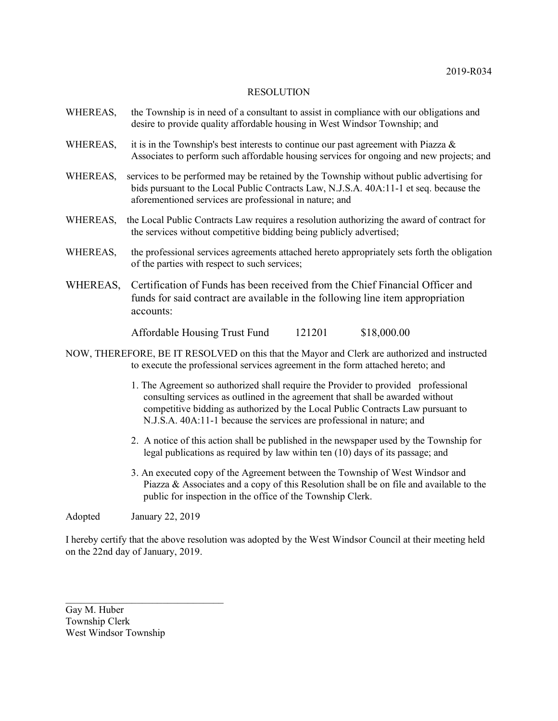| WHEREAS, | the Township is in need of a consultant to assist in compliance with our obligations and<br>desire to provide quality affordable housing in West Windsor Township; and                                                                                                                                                            |
|----------|-----------------------------------------------------------------------------------------------------------------------------------------------------------------------------------------------------------------------------------------------------------------------------------------------------------------------------------|
| WHEREAS, | it is in the Township's best interests to continue our past agreement with Piazza $\&$<br>Associates to perform such affordable housing services for ongoing and new projects; and                                                                                                                                                |
| WHEREAS, | services to be performed may be retained by the Township without public advertising for<br>bids pursuant to the Local Public Contracts Law, N.J.S.A. 40A:11-1 et seq. because the<br>aforementioned services are professional in nature; and                                                                                      |
| WHEREAS, | the Local Public Contracts Law requires a resolution authorizing the award of contract for<br>the services without competitive bidding being publicly advertised;                                                                                                                                                                 |
| WHEREAS, | the professional services agreements attached hereto appropriately sets forth the obligation<br>of the parties with respect to such services;                                                                                                                                                                                     |
| WHEREAS, | Certification of Funds has been received from the Chief Financial Officer and<br>funds for said contract are available in the following line item appropriation<br>accounts:                                                                                                                                                      |
|          | \$18,000.00<br>Affordable Housing Trust Fund<br>121201                                                                                                                                                                                                                                                                            |
|          | NOW, THEREFORE, BE IT RESOLVED on this that the Mayor and Clerk are authorized and instructed<br>to execute the professional services agreement in the form attached hereto; and                                                                                                                                                  |
|          | 1. The Agreement so authorized shall require the Provider to provided professional<br>consulting services as outlined in the agreement that shall be awarded without<br>competitive bidding as authorized by the Local Public Contracts Law pursuant to<br>N.J.S.A. 40A:11-1 because the services are professional in nature; and |

- 2. A notice of this action shall be published in the newspaper used by the Township for legal publications as required by law within ten (10) days of its passage; and
- 3. An executed copy of the Agreement between the Township of West Windsor and Piazza & Associates and a copy of this Resolution shall be on file and available to the public for inspection in the office of the Township Clerk.

Adopted January 22, 2019

 $\mathcal{L}_\text{max}$  , where  $\mathcal{L}_\text{max}$  is the set of the set of the set of the set of the set of the set of the set of the set of the set of the set of the set of the set of the set of the set of the set of the set of the se

I hereby certify that the above resolution was adopted by the West Windsor Council at their meeting held on the 22nd day of January, 2019.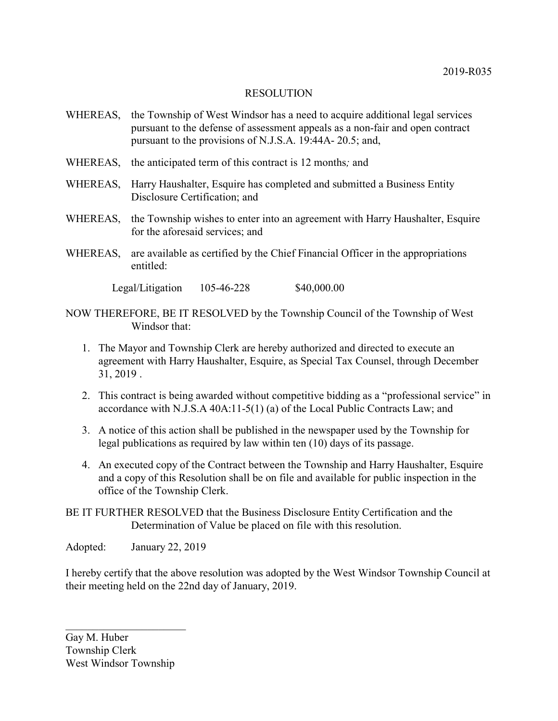- WHEREAS, the Township of West Windsor has a need to acquire additional legal services pursuant to the defense of assessment appeals as a non-fair and open contract pursuant to the provisions of N.J.S.A. 19:44A- 20.5; and,
- WHEREAS, the anticipated term of this contract is 12 months*;* and
- WHEREAS, Harry Haushalter, Esquire has completed and submitted a Business Entity Disclosure Certification; and
- WHEREAS, the Township wishes to enter into an agreement with Harry Haushalter, Esquire for the aforesaid services; and
- WHEREAS, are available as certified by the Chief Financial Officer in the appropriations entitled:

Legal/Litigation 105-46-228 \$40,000.00

- NOW THEREFORE, BE IT RESOLVED by the Township Council of the Township of West Windsor that:
	- 1. The Mayor and Township Clerk are hereby authorized and directed to execute an agreement with Harry Haushalter, Esquire, as Special Tax Counsel, through December 31, 2019 .
	- 2. This contract is being awarded without competitive bidding as a "professional service" in accordance with N.J.S.A 40A:11-5(1) (a) of the Local Public Contracts Law; and
	- 3. A notice of this action shall be published in the newspaper used by the Township for legal publications as required by law within ten (10) days of its passage.
	- 4. An executed copy of the Contract between the Township and Harry Haushalter, Esquire and a copy of this Resolution shall be on file and available for public inspection in the office of the Township Clerk.
- BE IT FURTHER RESOLVED that the Business Disclosure Entity Certification and the Determination of Value be placed on file with this resolution.

Adopted: January 22, 2019

I hereby certify that the above resolution was adopted by the West Windsor Township Council at their meeting held on the 22nd day of January, 2019.

Gay M. Huber Township Clerk West Windsor Township

 $\overline{\mathcal{L}}$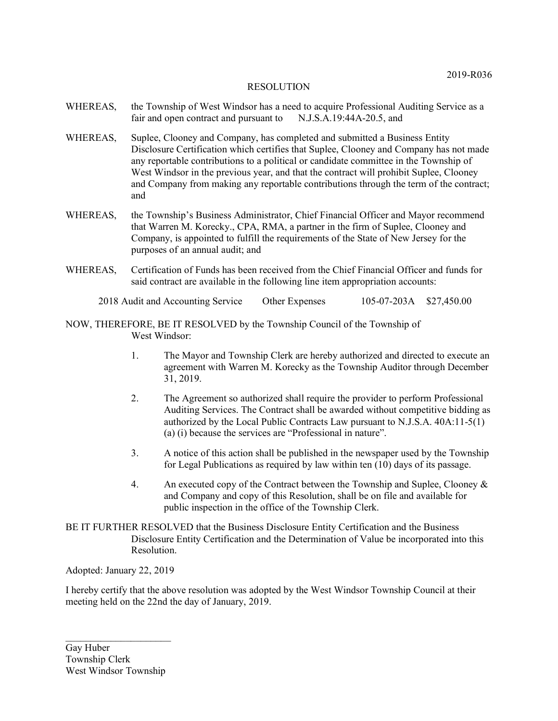- WHEREAS, the Township of West Windsor has a need to acquire Professional Auditing Service as a fair and open contract and pursuant to N.J.S.A.19:44A-20.5, and
- WHEREAS, Suplee, Clooney and Company, has completed and submitted a Business Entity Disclosure Certification which certifies that Suplee, Clooney and Company has not made any reportable contributions to a political or candidate committee in the Township of West Windsor in the previous year, and that the contract will prohibit Suplee, Clooney and Company from making any reportable contributions through the term of the contract; and
- WHEREAS, the Township's Business Administrator, Chief Financial Officer and Mayor recommend that Warren M. Korecky., CPA, RMA, a partner in the firm of Suplee, Clooney and Company, is appointed to fulfill the requirements of the State of New Jersey for the purposes of an annual audit; and
- WHEREAS, Certification of Funds has been received from the Chief Financial Officer and funds for said contract are available in the following line item appropriation accounts:

2018 Audit and Accounting Service Other Expenses 105-07-203A \$27,450.00

NOW, THEREFORE, BE IT RESOLVED by the Township Council of the Township of West Windsor:

- 1. The Mayor and Township Clerk are hereby authorized and directed to execute an agreement with Warren M. Korecky as the Township Auditor through December 31, 2019.
- 2. The Agreement so authorized shall require the provider to perform Professional Auditing Services. The Contract shall be awarded without competitive bidding as authorized by the Local Public Contracts Law pursuant to N.J.S.A. 40A:11-5(1) (a) (i) because the services are "Professional in nature".
- 3. A notice of this action shall be published in the newspaper used by the Township for Legal Publications as required by law within ten (10) days of its passage.
- 4. An executed copy of the Contract between the Township and Suplee, Clooney & and Company and copy of this Resolution, shall be on file and available for public inspection in the office of the Township Clerk.
- BE IT FURTHER RESOLVED that the Business Disclosure Entity Certification and the Business Disclosure Entity Certification and the Determination of Value be incorporated into this Resolution.

Adopted: January 22, 2019

I hereby certify that the above resolution was adopted by the West Windsor Township Council at their meeting held on the 22nd the day of January, 2019.

Gay Huber Township Clerk West Windsor Township

 $\mathcal{L}_\text{max}$  , where  $\mathcal{L}_\text{max}$  , we have the set of the set of the set of the set of the set of the set of the set of the set of the set of the set of the set of the set of the set of the set of the set of the set of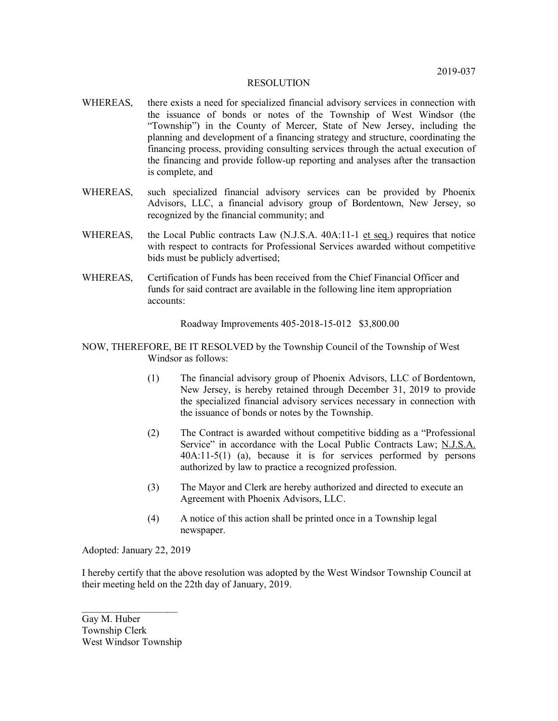- WHEREAS, there exists a need for specialized financial advisory services in connection with the issuance of bonds or notes of the Township of West Windsor (the "Township") in the County of Mercer, State of New Jersey, including the planning and development of a financing strategy and structure, coordinating the financing process, providing consulting services through the actual execution of the financing and provide follow-up reporting and analyses after the transaction is complete, and
- WHEREAS, such specialized financial advisory services can be provided by Phoenix Advisors, LLC, a financial advisory group of Bordentown, New Jersey, so recognized by the financial community; and
- WHEREAS, the Local Public contracts Law (N.J.S.A. 40A:11-1 et seq.) requires that notice with respect to contracts for Professional Services awarded without competitive bids must be publicly advertised;
- WHEREAS, Certification of Funds has been received from the Chief Financial Officer and funds for said contract are available in the following line item appropriation accounts:

Roadway Improvements 405-2018-15-012 \$3,800.00

- NOW, THEREFORE, BE IT RESOLVED by the Township Council of the Township of West Windsor as follows:
	- (1) The financial advisory group of Phoenix Advisors, LLC of Bordentown, New Jersey, is hereby retained through December 31, 2019 to provide the specialized financial advisory services necessary in connection with the issuance of bonds or notes by the Township.
	- (2) The Contract is awarded without competitive bidding as a "Professional Service" in accordance with the Local Public Contracts Law; N.J.S.A. 40A:11-5(1) (a), because it is for services performed by persons authorized by law to practice a recognized profession.
	- (3) The Mayor and Clerk are hereby authorized and directed to execute an Agreement with Phoenix Advisors, LLC.
	- (4) A notice of this action shall be printed once in a Township legal newspaper.

Adopted: January 22, 2019

I hereby certify that the above resolution was adopted by the West Windsor Township Council at their meeting held on the 22th day of January, 2019.

Gay M. Huber Township Clerk West Windsor Township

 $\overline{\phantom{a}}$  , where  $\overline{\phantom{a}}$